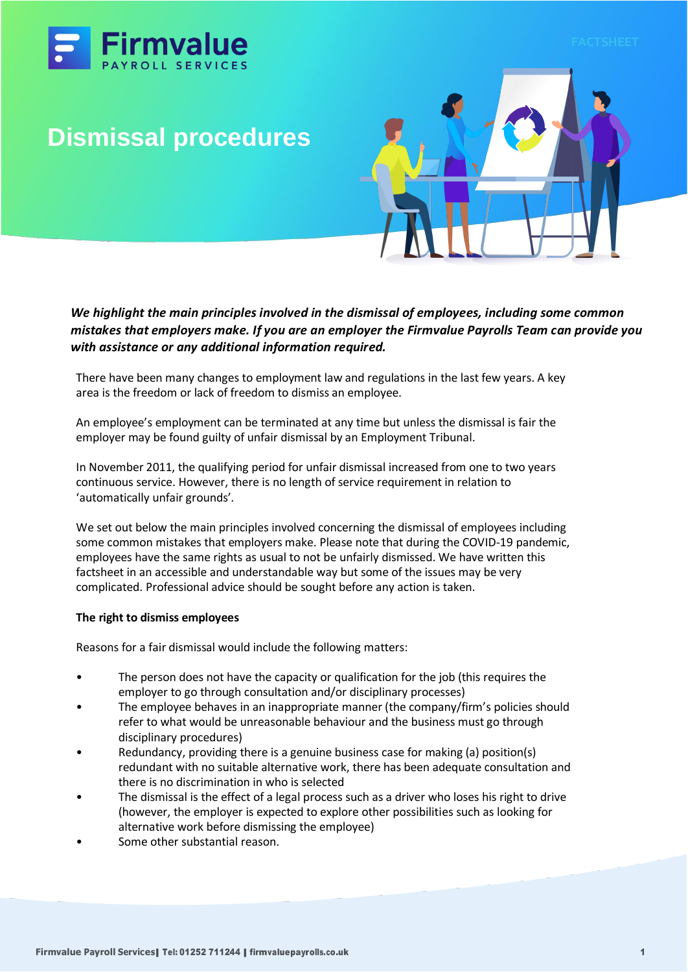

# **Dismissal procedures**



*We highlight the main principles involved in the dismissal of employees, including some common mistakes that employers make. If you are an employer the Firmvalue Payrolls Team can provide you with assistance or any additional information required.*

There have been many changes to employment law and regulations in the last few years. A key area is the freedom or lack of freedom to dismiss an employee.

An employee's employment can be terminated at any time but unless the dismissal is fair the employer may be found guilty of unfair dismissal by an Employment Tribunal.

In November 2011, the qualifying period for unfair dismissal increased from one to two years continuous service. However, there is no length of service requirement in relation to 'automatically unfair grounds'.

We set out below the main principles involved concerning the dismissal of employees including some common mistakes that employers make. Please note that during the COVID-19 pandemic, employees have the same rights as usual to not be unfairly dismissed. We have written this factsheet in an accessible and understandable way but some of the issues may be very complicated. Professional advice should be sought before any action is taken.

#### **The right to dismiss employees**

Reasons for a fair dismissal would include the following matters:

- The person does not have the capacity or qualification for the job (this requires the employer to go through consultation and/or disciplinary processes)
- The employee behaves in an inappropriate manner (the company/firm's policies should refer to what would be unreasonable behaviour and the business must go through disciplinary procedures)
- Redundancy, providing there is a genuine business case for making (a) position(s) redundant with no suitable alternative work, there has been adequate consultation and there is no discrimination in who is selected
- The dismissal is the effect of a legal process such as a driver who loses his right to drive (however, the employer is expected to explore other possibilities such as looking for alternative work before dismissing the employee)
- Some other substantial reason.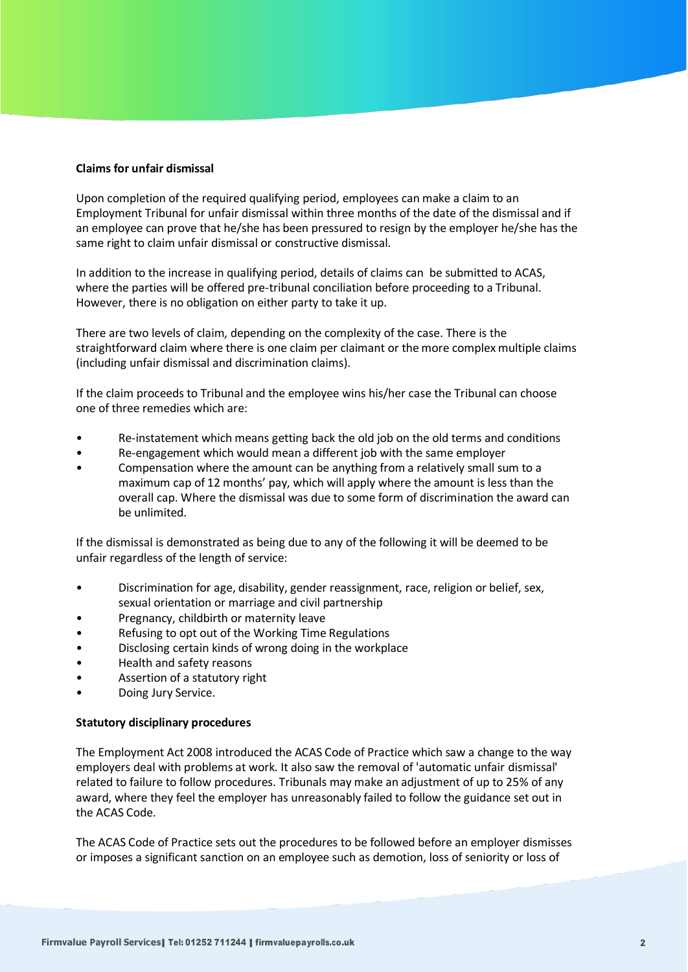## **Claims for unfair dismissal**

Upon completion of the required qualifying period, employees can make a claim to an Employment Tribunal for unfair dismissal within three months of the date of the dismissal and if an employee can prove that he/she has been pressured to resign by the employer he/she has the same right to claim unfair dismissal or constructive dismissal.

In addition to the increase in qualifying period, details of claims can be submitted to ACAS, where the parties will be offered pre-tribunal conciliation before proceeding to a Tribunal. However, there is no obligation on either party to take it up.

There are two levels of claim, depending on the complexity of the case. There is the straightforward claim where there is one claim per claimant or the more complex multiple claims (including unfair dismissal and discrimination claims).

If the claim proceeds to Tribunal and the employee wins his/her case the Tribunal can choose one of three remedies which are:

- Re-instatement which means getting back the old job on the old terms and conditions
- Re-engagement which would mean a different job with the same employer
- Compensation where the amount can be anything from a relatively small sum to a maximum cap of 12 months' pay, which will apply where the amount is less than the overall cap. Where the dismissal was due to some form of discrimination the award can be unlimited.

If the dismissal is demonstrated as being due to any of the following it will be deemed to be unfair regardless of the length of service:

- Discrimination for age, disability, gender reassignment, race, religion or belief, sex, sexual orientation or marriage and civil partnership
- Pregnancy, childbirth or maternity leave
- Refusing to opt out of the Working Time Regulations
- Disclosing certain kinds of wrong doing in the workplace
- Health and safety reasons
- Assertion of a statutory right
- Doing Jury Service.

#### **Statutory disciplinary procedures**

The Employment Act 2008 introduced the ACAS Code of Practice which saw a change to the way employers deal with problems at work. It also saw the removal of 'automatic unfair dismissal' related to failure to follow procedures. Tribunals may make an adjustment of up to 25% of any award, where they feel the employer has unreasonably failed to follow the guidance set out in the ACAS Code.

The ACAS Code of Practice sets out the procedures to be followed before an employer dismisses or imposes a significant sanction on an employee such as demotion, loss of seniority or loss of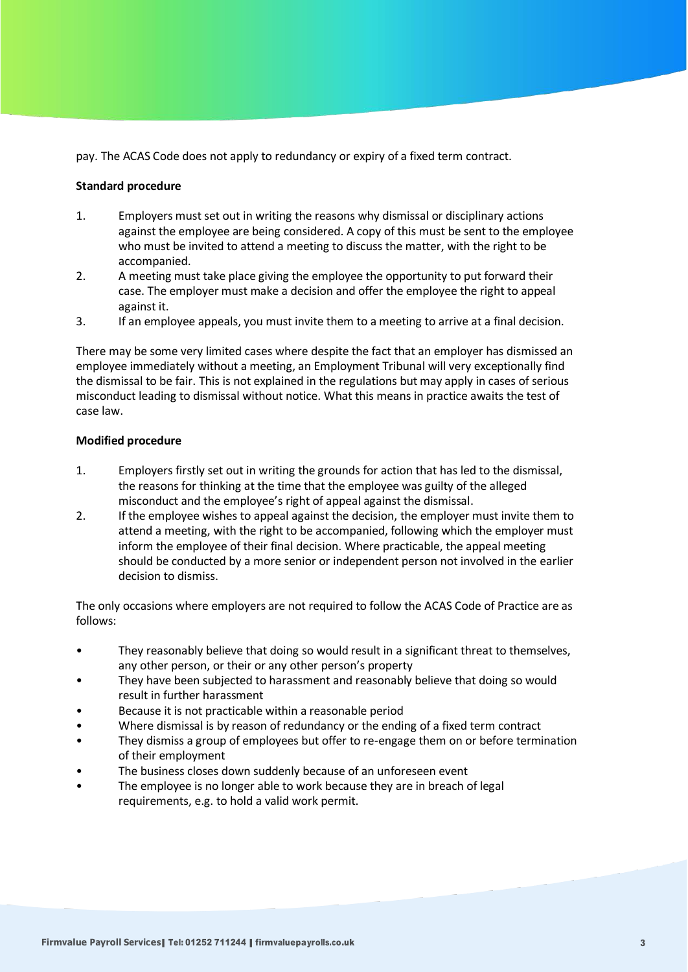pay. The ACAS Code does not apply to redundancy or expiry of a fixed term contract.

## **Standard procedure**

- 1. Employers must set out in writing the reasons why dismissal or disciplinary actions against the employee are being considered. A copy of this must be sent to the employee who must be invited to attend a meeting to discuss the matter, with the right to be accompanied.
- 2. A meeting must take place giving the employee the opportunity to put forward their case. The employer must make a decision and offer the employee the right to appeal against it.
- 3. If an employee appeals, you must invite them to a meeting to arrive at a final decision.

There may be some very limited cases where despite the fact that an employer has dismissed an employee immediately without a meeting, an Employment Tribunal will very exceptionally find the dismissal to be fair. This is not explained in the regulations but may apply in cases of serious misconduct leading to dismissal without notice. What this means in practice awaits the test of case law.

## **Modified procedure**

- 1. Employers firstly set out in writing the grounds for action that has led to the dismissal, the reasons for thinking at the time that the employee was guilty of the alleged misconduct and the employee's right of appeal against the dismissal.
- 2. If the employee wishes to appeal against the decision, the employer must invite them to attend a meeting, with the right to be accompanied, following which the employer must inform the employee of their final decision. Where practicable, the appeal meeting should be conducted by a more senior or independent person not involved in the earlier decision to dismiss.

The only occasions where employers are not required to follow the ACAS Code of Practice are as follows:

- They reasonably believe that doing so would result in a significant threat to themselves, any other person, or their or any other person's property
- They have been subjected to harassment and reasonably believe that doing so would result in further harassment
- Because it is not practicable within a reasonable period
- Where dismissal is by reason of redundancy or the ending of a fixed term contract
- They dismiss a group of employees but offer to re-engage them on or before termination of their employment
- The business closes down suddenly because of an unforeseen event
- The employee is no longer able to work because they are in breach of legal requirements, e.g. to hold a valid work permit.